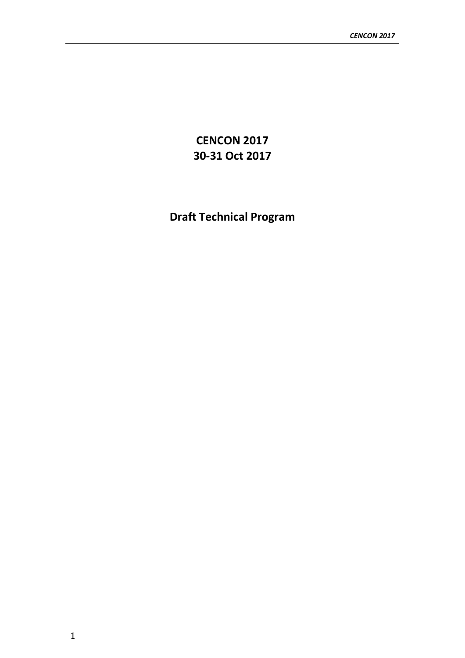**CENCON 2017 30-31 Oct 2017**

**Draft Technical Program**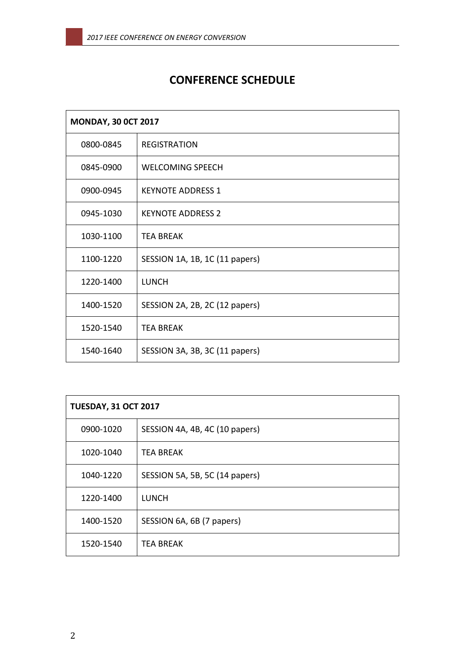# **CONFERENCE SCHEDULE**

| <b>MONDAY, 30 OCT 2017</b> |                                |
|----------------------------|--------------------------------|
| 0800-0845                  | <b>REGISTRATION</b>            |
| 0845-0900                  | <b>WELCOMING SPEECH</b>        |
| 0900-0945                  | <b>KEYNOTE ADDRESS 1</b>       |
| 0945-1030                  | <b>KEYNOTE ADDRESS 2</b>       |
| 1030-1100                  | <b>TEA BREAK</b>               |
| 1100-1220                  | SESSION 1A, 1B, 1C (11 papers) |
| 1220-1400                  | <b>LUNCH</b>                   |
| 1400-1520                  | SESSION 2A, 2B, 2C (12 papers) |
| 1520-1540                  | <b>TEA BREAK</b>               |
| 1540-1640                  | SESSION 3A, 3B, 3C (11 papers) |

| <b>TUESDAY, 31 OCT 2017</b> |                                |  |
|-----------------------------|--------------------------------|--|
| 0900-1020                   | SESSION 4A, 4B, 4C (10 papers) |  |
| 1020-1040                   | <b>TEA BREAK</b>               |  |
| 1040-1220                   | SESSION 5A, 5B, 5C (14 papers) |  |
| 1220-1400                   | <b>LUNCH</b>                   |  |
| 1400-1520                   | SESSION 6A, 6B (7 papers)      |  |
| 1520-1540                   | <b>TEA BREAK</b>               |  |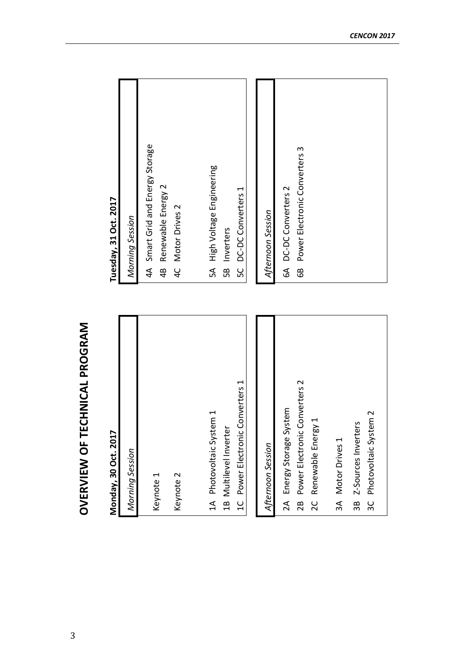| Monday, 30 Oct. 2017                               | Tuesday, 31 Oct. 2017                                        |
|----------------------------------------------------|--------------------------------------------------------------|
| Morning Session                                    | Morning Session                                              |
| Keynote 1                                          | 4A Smart Grid and Energy Storage<br>Renewable Energy 2<br>4B |
| Keynote 2                                          | Motor Drives 2<br>$\frac{1}{4}$                              |
| 1A Photovoltaic System 1                           | 5A High Voltage Engineering                                  |
| 1B Multilevel Inverter                             | 5B Inverters                                                 |
| Converters 1<br>1C Power Electronic                | DC-DC Converters 1<br>50                                     |
|                                                    |                                                              |
| Afternoon Session                                  | Afternoon Session                                            |
| 2A Energy Storage System                           | 6A DC-DC Converters 2                                        |
| Converters 2<br>2B Power Electronic                | Power Electronic Converters 3<br>68                          |
| Renewable Energy 1<br>20                           |                                                              |
| 3A Motor Drives 1                                  |                                                              |
|                                                    |                                                              |
| 3C Photovoltaic System 2<br>3B Z-Sources Inverters |                                                              |
|                                                    |                                                              |

# **OVERVIEW OF TECHNICAL PROGRAM OVERVIEW OF TECHNICAL PROGRAM**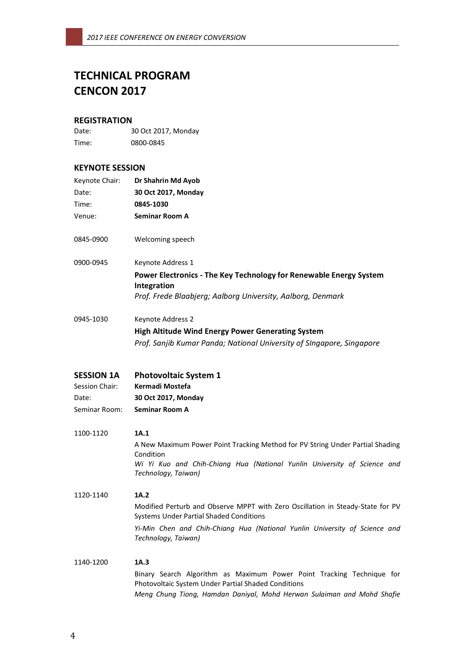# **TECHNICAL PROGRAM CENCON 2017**

# **REGISTRATION**

| Date: | 30 Oct 2017, Monday |
|-------|---------------------|
| Time: | 0800-0845           |

# **KEYNOTE SESSION**

| Keynote Chair:<br>Date:<br>Time: | Dr Shahrin Md Ayob<br>30 Oct 2017, Monday<br>0845-1030                                                                           |  |
|----------------------------------|----------------------------------------------------------------------------------------------------------------------------------|--|
| Venue:                           | <b>Seminar Room A</b>                                                                                                            |  |
| 0845-0900                        | Welcoming speech                                                                                                                 |  |
| 0900-0945                        | Keynote Address 1                                                                                                                |  |
|                                  | Power Electronics - The Key Technology for Renewable Energy System<br>Integration                                                |  |
|                                  | Prof. Frede Blaabjerg; Aalborg University, Aalborg, Denmark                                                                      |  |
| 0945-1030                        | Keynote Address 2                                                                                                                |  |
|                                  | <b>High Altitude Wind Energy Power Generating System</b>                                                                         |  |
|                                  | Prof. Sanjib Kumar Panda; National University of SIngapore, Singapore                                                            |  |
| <b>SESSION 1A</b>                | <b>Photovoltaic System 1</b>                                                                                                     |  |
| Session Chair:                   | Kermadi Mostefa                                                                                                                  |  |
| Date:                            | 30 Oct 2017, Monday                                                                                                              |  |
| Seminar Room:                    | <b>Seminar Room A</b>                                                                                                            |  |
| 1100-1120                        | 1A.1                                                                                                                             |  |
|                                  | A New Maximum Power Point Tracking Method for PV String Under Partial Shading<br>Condition                                       |  |
|                                  | Wi Yi Kuo and Chih-Chiang Hua (National Yunlin University of Science and<br>Technology, Taiwan)                                  |  |
| 1120-1140                        | 1A.2                                                                                                                             |  |
|                                  | Modified Perturb and Observe MPPT with Zero Oscillation in Steady-State for PV<br><b>Systems Under Partial Shaded Conditions</b> |  |
|                                  | Yi-Min Chen and Chih-Chiang Hua (National Yunlin University of Science and<br>Technology, Taiwan)                                |  |
| 1140-1200                        | 1A.3                                                                                                                             |  |
|                                  | Binary Search Algorithm as Maximum Power Point Tracking Technique for<br>Photovoltaic System Under Partial Shaded Conditions     |  |

*Meng Chung Tiong, Hamdan Daniyal, Mohd Herwan Sulaiman and Mohd Shafie*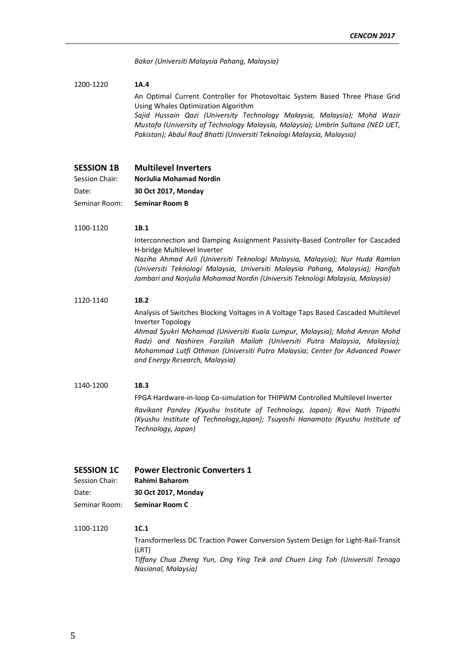*Bakar (Universiti Malaysia Pahang, Malaysia)*

#### 1200-1220 **1A.4**

An Optimal Current Controller for Photovoltaic System Based Three Phase Grid Using Whales Optimization Algorithm

*Sajid Hussain Qazi (University Technology Malaysia, Malaysia); Mohd Wazir Mustafa (University of Technology Malaysia, Malaysia); Umbrin Sultana (NED UET, Pakistan); Abdul Rauf Bhatti (Universiti Teknologi Malaysia, Malaysia)*

- **SESSION 1B Multilevel Inverters**
- Session Chair: **NorJulia Mohamad Nordin**
- Date: **30 Oct 2017, Monday**

Seminar Room: **Seminar Room B**

# 1100-1120 **1B.1**

Interconnection and Damping Assignment Passivity-Based Controller for Cascaded H-bridge Multilevel Inverter *Naziha Ahmad Azli (Universiti Teknologi Malaysia, Malaysia); Nur Huda Ramlan (Universiti Teknologi Malaysia, Universiti Malaysia Pahang, Malaysia); Hanifah Jambari and Norjulia Mohamad Nordin (Universiti Teknologi Malaysia, Malaysia)*

#### 1120-1140 **1B.2**

Analysis of Switches Blocking Voltages in A Voltage Taps Based Cascaded Multilevel Inverter Topology

*Ahmad Syukri Mohamad (Universiti Kuala Lumpur, Malaysia); Mohd Amran Mohd Radzi and Nashiren Farzilah Mailah (Universiti Putra Malaysia, Malaysia); Mohammad Lutfi Othman (Universiti Putra Malaysia; Center for Advanced Power and Energy Research, Malaysia)*

#### 1140-1200 **1B.3**

FPGA Hardware-in-loop Co-simulation for THIPWM Controlled Multilevel Inverter

*Ravikant Pandey (Kyushu Institute of Technology, Japan); Ravi Nath Tripathi (Kyushu Institute of Technology,Japan); Tsuyoshi Hanamoto (Kyushu Institute of Technology, Japan)*

#### **SESSION 1C Power Electronic Converters 1**

Session Chair: **Rahimi Baharom**

Date: **30 Oct 2017, Monday**

Seminar Room: **Seminar Room C**

## 1100-1120 **1C.1**

Transformerless DC Traction Power Conversion System Design for Light-Rail-Transit (LRT) *Tiffany Chua Zheng Yun, Ong Ying Teik and Chuen Ling Toh (Universiti Tenaga Nasional, Malaysia)*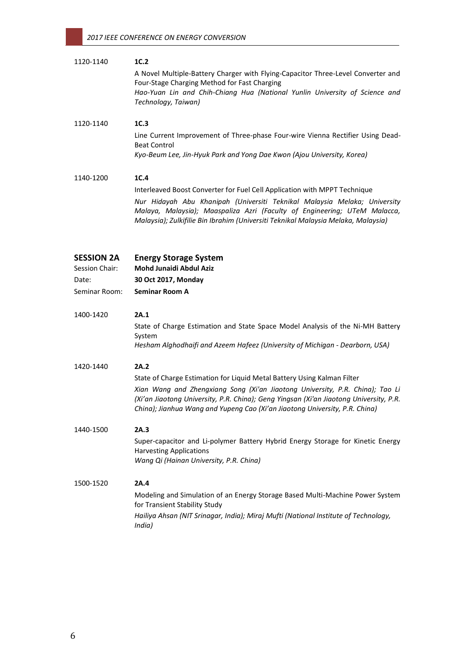| 1120-1140                                                     | 1C.2<br>A Novel Multiple-Battery Charger with Flying-Capacitor Three-Level Converter and<br>Four-Stage Charging Method for Fast Charging<br>Hao-Yuan Lin and Chih-Chiang Hua (National Yunlin University of Science and<br>Technology, Taiwan)                                                                                            |
|---------------------------------------------------------------|-------------------------------------------------------------------------------------------------------------------------------------------------------------------------------------------------------------------------------------------------------------------------------------------------------------------------------------------|
| 1120-1140                                                     | 1C.3<br>Line Current Improvement of Three-phase Four-wire Vienna Rectifier Using Dead-<br><b>Beat Control</b><br>Kyo-Beum Lee, Jin-Hyuk Park and Yong Dae Kwon (Ajou University, Korea)                                                                                                                                                   |
| 1140-1200                                                     | 1C.4<br>Interleaved Boost Converter for Fuel Cell Application with MPPT Technique<br>Nur Hidayah Abu Khanipah (Universiti Teknikal Malaysia Melaka; University<br>Malaya, Malaysia); Maaspaliza Azri (Faculty of Engineering; UTeM Malacca,<br>Malaysia); Zulkifilie Bin Ibrahim (Universiti Teknikal Malaysia Melaka, Malaysia)          |
| <b>SESSION 2A</b><br>Session Chair:<br>Date:<br>Seminar Room: | <b>Energy Storage System</b><br>Mohd Junaidi Abdul Aziz<br>30 Oct 2017, Monday<br><b>Seminar Room A</b>                                                                                                                                                                                                                                   |
| 1400-1420                                                     | 2A.1<br>State of Charge Estimation and State Space Model Analysis of the Ni-MH Battery<br>System<br>Hesham Alghodhaifi and Azeem Hafeez (University of Michigan - Dearborn, USA)                                                                                                                                                          |
| 1420-1440                                                     | 2A.2<br>State of Charge Estimation for Liquid Metal Battery Using Kalman Filter<br>Xian Wang and Zhengxiang Song (Xi'an Jiaotong University, P.R. China); Tao Li<br>(Xi'an Jiaotong University, P.R. China); Geng Yingsan (Xi'an Jiaotong University, P.R.<br>China); Jianhua Wang and Yupeng Cao (Xi'an Jiaotong University, P.R. China) |
| 1440-1500                                                     | 2A.3<br>Super-capacitor and Li-polymer Battery Hybrid Energy Storage for Kinetic Energy<br><b>Harvesting Applications</b><br>Wang Qi (Hainan University, P.R. China)                                                                                                                                                                      |
| 1500-1520                                                     | 2A.4<br>Modeling and Simulation of an Energy Storage Based Multi-Machine Power System<br>for Transient Stability Study<br>Hailiya Ahsan (NIT Srinagar, India); Miraj Mufti (National Institute of Technology,<br>India)                                                                                                                   |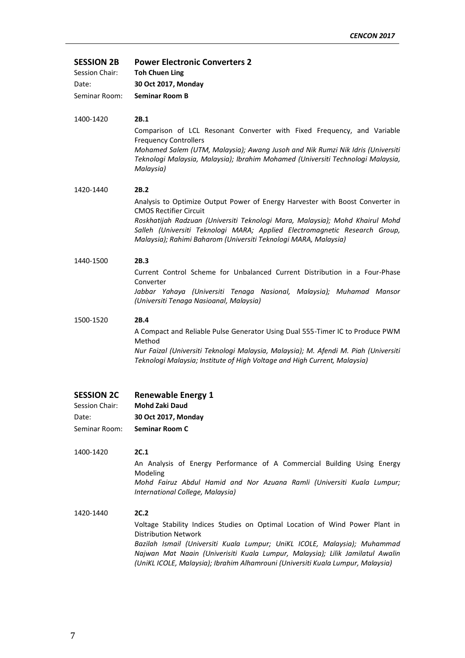**SESSION 2B Power Electronic Converters 2**

| Session Chair: | <b>Toh Chuen Ling</b> |
|----------------|-----------------------|
| Date:          | 30 Oct 2017, Monday   |
| Seminar Room:  | <b>Seminar Room B</b> |

# 1400-1420 **2B.1**

Comparison of LCL Resonant Converter with Fixed Frequency, and Variable Frequency Controllers

*Mohamed Salem (UTM, Malaysia); Awang Jusoh and Nik Rumzi Nik Idris (Universiti Teknologi Malaysia, Malaysia); Ibrahim Mohamed (Universiti Technologi Malaysia, Malaysia)*

# 1420-1440 **2B.2**

Analysis to Optimize Output Power of Energy Harvester with Boost Converter in CMOS Rectifier Circuit

*Roskhatijah Radzuan (Universiti Teknologi Mara, Malaysia); Mohd Khairul Mohd Salleh (Universiti Teknologi MARA; Applied Electromagnetic Research Group, Malaysia); Rahimi Baharom (Universiti Teknologi MARA, Malaysia)*

## 1440-1500 **2B.3**

Current Control Scheme for Unbalanced Current Distribution in a Four-Phase Converter

*Jabbar Yahaya (Universiti Tenaga Nasional, Malaysia); Muhamad Mansor (Universiti Tenaga Nasioanal, Malaysia)*

## 1500-1520 **2B.4**

A Compact and Reliable Pulse Generator Using Dual 555-Timer IC to Produce PWM Method

*Nur Faizal (Universiti Teknologi Malaysia, Malaysia); M. Afendi M. Piah (Universiti Teknologi Malaysia; Institute of High Voltage and High Current, Malaysia)*

| <b>SESSION 2C</b> | <b>Renewable Energy 1</b> |
|-------------------|---------------------------|
| Session Chair:    | <b>Mohd Zaki Daud</b>     |

Date: **30 Oct 2017, Monday** Seminar Room: **Seminar Room C**

1400-1420 **2C.1** An Analysis of Energy Performance of A Commercial Building Using Energy Modeling

*Mohd Fairuz Abdul Hamid and Nor Azuana Ramli (Universiti Kuala Lumpur; International College, Malaysia)*

1420-1440 **2C.2** Voltage Stability Indices Studies on Optimal Location of Wind Power Plant in Distribution Network *Bazilah Ismail (Universiti Kuala Lumpur; UniKL ICOLE, Malaysia); Muhammad Najwan Mat Naain (Univerisiti Kuala Lumpur, Malaysia); Lilik Jamilatul Awalin (UniKL ICOLE, Malaysia); Ibrahim Alhamrouni (Universiti Kuala Lumpur, Malaysia)*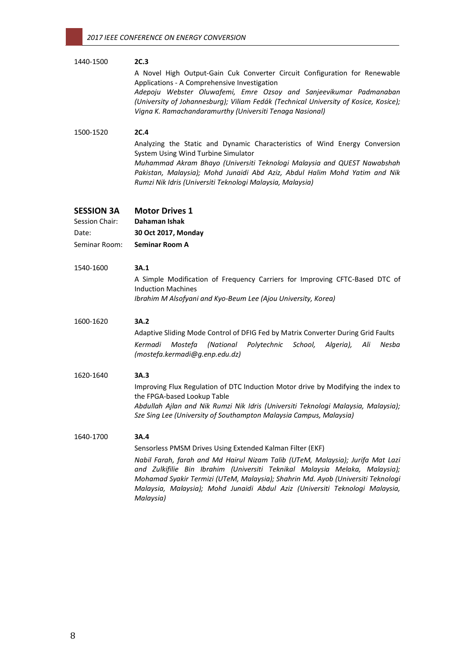# 1440-1500 **2C.3** A Novel High Output-Gain Cuk Converter Circuit Configuration for Renewable Applications - A Comprehensive Investigation *Adepoju Webster Oluwafemi, Emre Ozsoy and Sanjeevikumar Padmanaban (University of Johannesburg); Viliam Fedák (Technical University of Kosice, Kosice); Vigna K. Ramachandaramurthy (Universiti Tenaga Nasional)* 1500-1520 **2C.4** Analyzing the Static and Dynamic Characteristics of Wind Energy Conversion System Using Wind Turbine Simulator *Muhammad Akram Bhayo (Universiti Teknologi Malaysia and QUEST Nawabshah Pakistan, Malaysia); Mohd Junaidi Abd Aziz, Abdul Halim Mohd Yatim and Nik Rumzi Nik Idris (Universiti Teknologi Malaysia, Malaysia)* **SESSION 3A Motor Drives 1**  Session Chair: **Dahaman Ishak** Date: **30 Oct 2017, Monday** Seminar Room: **Seminar Room A** 1540-1600 **3A.1** A Simple Modification of Frequency Carriers for Improving CFTC-Based DTC of Induction Machines *Ibrahim M Alsofyani and Kyo-Beum Lee (Ajou University, Korea)* 1600-1620 **3A.2** Adaptive Sliding Mode Control of DFIG Fed by Matrix Converter During Grid Faults *Kermadi Mostefa (National Polytechnic School, Algeria), Ali Nesba (mostefa.kermadi@g.enp.edu.dz)* 1620-1640 **3A.3** Improving Flux Regulation of DTC Induction Motor drive by Modifying the index to

the FPGA-based Lookup Table *Abdullah Ajlan and Nik Rumzi Nik Idris (Universiti Teknologi Malaysia, Malaysia); Sze Sing Lee (University of Southampton Malaysia Campus, Malaysia)*

# 1640-1700 **3A.4**

Sensorless PMSM Drives Using Extended Kalman Filter (EKF)

*Nabil Farah, farah and Md Hairul Nizam Talib (UTeM, Malaysia); Jurifa Mat Lazi and Zulkifilie Bin Ibrahim (Universiti Teknikal Malaysia Melaka, Malaysia); Mohamad Syakir Termizi (UTeM, Malaysia); Shahrin Md. Ayob (Universiti Teknologi Malaysia, Malaysia); Mohd Junaidi Abdul Aziz (Universiti Teknologi Malaysia, Malaysia)*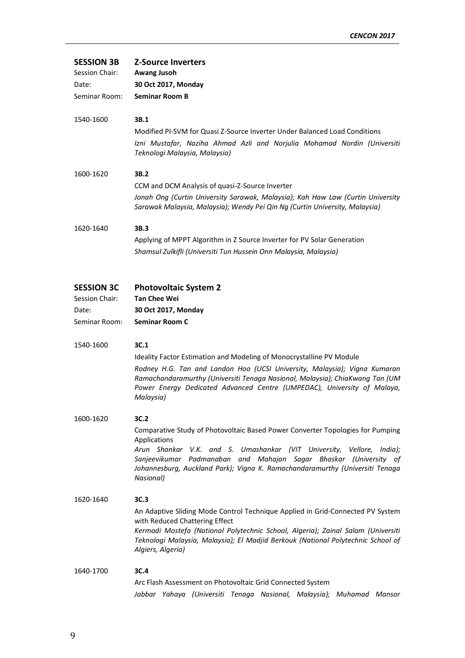| <b>SESSION 3B</b><br>Session Chair:<br>Date:<br>Seminar Room:<br>1540-1600 | <b>Z-Source Inverters</b><br>Awang Jusoh<br>30 Oct 2017, Monday<br><b>Seminar Room B</b><br>3B.1                                                                                                                                                                                                                                          |
|----------------------------------------------------------------------------|-------------------------------------------------------------------------------------------------------------------------------------------------------------------------------------------------------------------------------------------------------------------------------------------------------------------------------------------|
|                                                                            | Modified PI-SVM for Quasi Z-Source Inverter Under Balanced Load Conditions<br>Izni Mustafar, Naziha Ahmad Azli and Norjulia Mohamad Nordin (Universiti<br>Teknologi Malaysia, Malaysia)                                                                                                                                                   |
| 1600-1620                                                                  | 3B.2                                                                                                                                                                                                                                                                                                                                      |
|                                                                            | CCM and DCM Analysis of quasi-Z-Source Inverter                                                                                                                                                                                                                                                                                           |
|                                                                            | Jonah Ong (Curtin University Sarawak, Malaysia); Kah Haw Law (Curtin University<br>Sarawak Malaysia, Malaysia); Wendy Pei Qin Ng (Curtin University, Malaysia)                                                                                                                                                                            |
| 1620-1640                                                                  | 3B.3                                                                                                                                                                                                                                                                                                                                      |
|                                                                            | Applying of MPPT Algorithm in Z Source Inverter for PV Solar Generation                                                                                                                                                                                                                                                                   |
|                                                                            | Shamsul Zulkifli (Universiti Tun Hussein Onn Malaysia, Malaysia)                                                                                                                                                                                                                                                                          |
| <b>SESSION 3C</b><br>Session Chair:                                        | <b>Photovoltaic System 2</b><br><b>Tan Chee Wei</b>                                                                                                                                                                                                                                                                                       |
| Date:                                                                      | 30 Oct 2017, Monday                                                                                                                                                                                                                                                                                                                       |
| Seminar Room:                                                              | <b>Seminar Room C</b>                                                                                                                                                                                                                                                                                                                     |
| 1540-1600                                                                  | 3C.1                                                                                                                                                                                                                                                                                                                                      |
|                                                                            | Ideality Factor Estimation and Modeling of Monocrystalline PV Module                                                                                                                                                                                                                                                                      |
|                                                                            | Rodney H.G. Tan and Landon Hoo (UCSI University, Malaysia); Vigna Kumaran<br>Ramachandaramurthy (Universiti Tenaga Nasional, Malaysia); ChiaKwang Tan (UM<br>Power Energy Dedicated Advanced Centre (UMPEDAC), University of Malaya,<br>Malaysia)                                                                                         |
| 1600-1620                                                                  | 3C.2                                                                                                                                                                                                                                                                                                                                      |
|                                                                            | Comparative Study of Photovoltaic Based Power Converter Topologies for Pumping<br>Applications<br>Arun Shankar V.K. and S. Umashankar (VIT University, Vellore, India);<br>Sanjeevikumar Padmanaban and Mahajan Sagar Bhaskar (University of<br>Johannesburg, Auckland Park); Vigna K. Ramachandaramurthy (Universiti Tenaga<br>Nasional) |
| 1620-1640                                                                  | 3C.3<br>An Adaptive Sliding Mode Control Technique Applied in Grid-Connected PV System<br>with Reduced Chattering Effect<br>Kermadi Mostefa (National Polytechnic School, Algeria); Zainal Salam (Universiti<br>Teknologi Malaysia, Malaysia); El Madjid Berkouk (National Polytechnic School of<br>Algiers, Algeria)                     |

# 1640-1700 **3C.4** Arc Flash Assessment on Photovoltaic Grid Connected System *Jabbar Yahaya (Universiti Tenaga Nasional, Malaysia); Muhamad Mansor*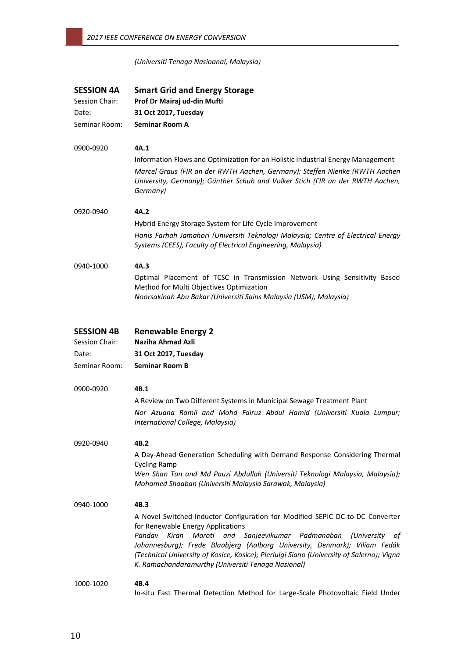# *(Universiti Tenaga Nasioanal, Malaysia)*

| <b>SESSION 4A</b><br>Session Chair: | <b>Smart Grid and Energy Storage</b><br>Prof Dr Mairaj ud-din Mufti                                                                                                                                                                                                                                                                                                                                                               |  |
|-------------------------------------|-----------------------------------------------------------------------------------------------------------------------------------------------------------------------------------------------------------------------------------------------------------------------------------------------------------------------------------------------------------------------------------------------------------------------------------|--|
| Date:                               | 31 Oct 2017, Tuesday                                                                                                                                                                                                                                                                                                                                                                                                              |  |
| Seminar Room:                       | <b>Seminar Room A</b>                                                                                                                                                                                                                                                                                                                                                                                                             |  |
| 0900-0920                           | 4A.1                                                                                                                                                                                                                                                                                                                                                                                                                              |  |
|                                     | Information Flows and Optimization for an Holistic Industrial Energy Management                                                                                                                                                                                                                                                                                                                                                   |  |
|                                     | Marcel Graus (FIR an der RWTH Aachen, Germany); Steffen Nienke (RWTH Aachen<br>University, Germany); Günther Schuh and Volker Stich (FIR an der RWTH Aachen,<br>Germany)                                                                                                                                                                                                                                                          |  |
| 0920-0940                           | 4A.2                                                                                                                                                                                                                                                                                                                                                                                                                              |  |
|                                     | Hybrid Energy Storage System for Life Cycle Improvement                                                                                                                                                                                                                                                                                                                                                                           |  |
|                                     | Hanis Farhah Jamahori (Universiti Teknologi Malaysia; Centre of Electrical Energy<br>Systems (CEES), Faculty of Electrical Engineering, Malaysia)                                                                                                                                                                                                                                                                                 |  |
| 0940-1000                           | 4A.3                                                                                                                                                                                                                                                                                                                                                                                                                              |  |
|                                     | Optimal Placement of TCSC in Transmission Network Using Sensitivity Based<br>Method for Multi Objectives Optimization<br>Noorsakinah Abu Bakar (Universiti Sains Malaysia (USM), Malaysia)                                                                                                                                                                                                                                        |  |
|                                     |                                                                                                                                                                                                                                                                                                                                                                                                                                   |  |
| <b>SESSION 4B</b><br>Session Chair: | <b>Renewable Energy 2</b><br>Naziha Ahmad Azli                                                                                                                                                                                                                                                                                                                                                                                    |  |
| Date:                               | 31 Oct 2017, Tuesday                                                                                                                                                                                                                                                                                                                                                                                                              |  |
| Seminar Room:                       | <b>Seminar Room B</b>                                                                                                                                                                                                                                                                                                                                                                                                             |  |
| 0900-0920                           | 4B.1                                                                                                                                                                                                                                                                                                                                                                                                                              |  |
|                                     | A Review on Two Different Systems in Municipal Sewage Treatment Plant                                                                                                                                                                                                                                                                                                                                                             |  |
|                                     | Nor Azuana Ramli and Mohd Fairuz Abdul Hamid (Universiti Kuala Lumpur;<br>International College, Malaysia)                                                                                                                                                                                                                                                                                                                        |  |
| 0920-0940                           | 4B.2                                                                                                                                                                                                                                                                                                                                                                                                                              |  |
|                                     | A Day-Ahead Generation Scheduling with Demand Response Considering Thermal<br><b>Cycling Ramp</b>                                                                                                                                                                                                                                                                                                                                 |  |
|                                     | Wen Shan Tan and Md Pauzi Abdullah (Universiti Teknologi Malaysia, Malaysia);<br>Mohamed Shaaban (Universiti Malaysia Sarawak, Malaysia)                                                                                                                                                                                                                                                                                          |  |
| 0940-1000                           | 4B.3                                                                                                                                                                                                                                                                                                                                                                                                                              |  |
|                                     | A Novel Switched-Inductor Configuration for Modified SEPIC DC-to-DC Converter<br>for Renewable Energy Applications<br>Pandav<br>Kiran<br>Maroti and Sanjeevikumar Padmanaban<br>(University<br>ot<br>Johannesburg); Frede Blaabjerg (Aalborg University, Denmark); Viliam Fedák<br>(Technical University of Kosice, Kosice); Pierluigi Siano (University of Salerno); Vigna<br>K. Ramachandaramurthy (Universiti Tenaga Nasional) |  |
| 1000-1020                           | 4B.4<br>In-situ Fast Thermal Detection Method for Large-Scale Photovoltaic Field Under                                                                                                                                                                                                                                                                                                                                            |  |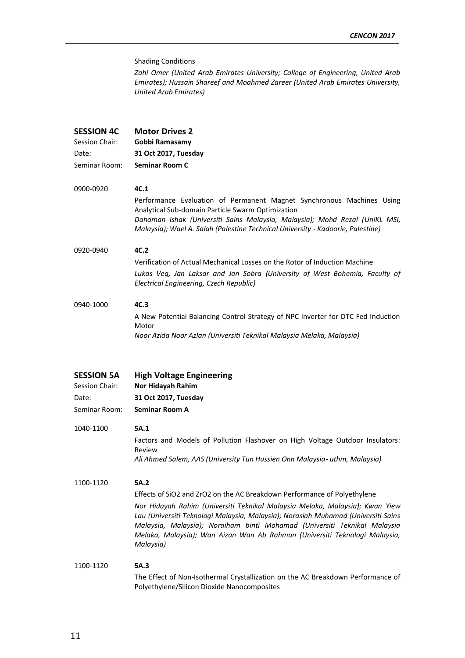## Shading Conditions

*Zahi Omer (United Arab Emirates University; College of Engineering, United Arab Emirates); Hussain Shareef and Moahmed Zareer (United Arab Emirates University, United Arab Emirates)*

| <b>SESSION 4C</b> | <b>Motor Drives 2</b>                                                                                                                                                                                                                                                                        |  |
|-------------------|----------------------------------------------------------------------------------------------------------------------------------------------------------------------------------------------------------------------------------------------------------------------------------------------|--|
| Session Chair:    | Gobbi Ramasamy                                                                                                                                                                                                                                                                               |  |
| Date:             | 31 Oct 2017, Tuesday                                                                                                                                                                                                                                                                         |  |
| Seminar Room:     | Seminar Room C                                                                                                                                                                                                                                                                               |  |
| 0900-0920         | 4C.1                                                                                                                                                                                                                                                                                         |  |
|                   | Performance Evaluation of Permanent Magnet Synchronous Machines Using<br>Analytical Sub-domain Particle Swarm Optimization<br>Dahaman Ishak (Universiti Sains Malaysia, Malaysia); Mohd Rezal (UniKL MSI,<br>Malaysia); Wael A. Salah (Palestine Technical University - Kadoorie, Palestine) |  |
| 0920-0940         | 4C.2                                                                                                                                                                                                                                                                                         |  |
|                   | Verification of Actual Mechanical Losses on the Rotor of Induction Machine                                                                                                                                                                                                                   |  |
|                   | Lukas Veg, Jan Laksar and Jan Sobra (University of West Bohemia, Faculty of<br>Electrical Engineering, Czech Republic)                                                                                                                                                                       |  |
| 0940-1000         | 4C.3                                                                                                                                                                                                                                                                                         |  |
|                   | A New Potential Balancing Control Strategy of NPC Inverter for DTC Fed Induction<br>Motor                                                                                                                                                                                                    |  |
|                   | Noor Azida Noor Azlan (Universiti Teknikal Malaysia Melaka, Malaysia)                                                                                                                                                                                                                        |  |
|                   |                                                                                                                                                                                                                                                                                              |  |

| <b>SESSION 5A</b> | <b>High Voltage Engineering</b> |
|-------------------|---------------------------------|
| Session Chair:    | <b>Nor Hidayah Rahim</b>        |
| Date:             | 31 Oct 2017, Tuesday            |

- Seminar Room: **Seminar Room A**
- 1040-1100 **5A.1**

Factors and Models of Pollution Flashover on High Voltage Outdoor Insulators: Review *Ali Ahmed Salem, AAS (University Tun Hussien Onn Malaysia- uthm, Malaysia)*

1100-1120 **5A.2**

Effects of SiO2 and ZrO2 on the AC Breakdown Performance of Polyethylene

*Nor Hidayah Rahim (Universiti Teknikal Malaysia Melaka, Malaysia); Kwan Yiew Lau (Universiti Teknologi Malaysia, Malaysia); Norasiah Muhamad (Universiti Sains Malaysia, Malaysia); Noraiham binti Mohamad (Universiti Teknikal Malaysia Melaka, Malaysia); Wan Aizan Wan Ab Rahman (Universiti Teknologi Malaysia, Malaysia)*

# 1100-1120 **5A.3** The Effect of Non-Isothermal Crystallization on the AC Breakdown Performance of Polyethylene/Silicon Dioxide Nanocomposites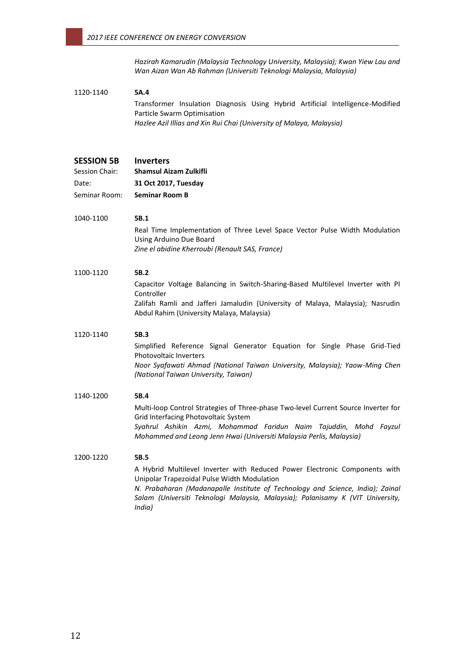*Hazirah Kamarudin (Malaysia Technology University, Malaysia); Kwan Yiew Lau and Wan Aizan Wan Ab Rahman (Universiti Teknologi Malaysia, Malaysia)*

# 1120-1140 **5A.4**

Transformer Insulation Diagnosis Using Hybrid Artificial Intelligence-Modified Particle Swarm Optimisation *Hazlee Azil Illias and Xin Rui Chai (University of Malaya, Malaysia)*

# **SESSION 5B Inverters**

Session Chair: **Shamsul Aizam Zulkifli** Date: **31 Oct 2017, Tuesday** Seminar Room: **Seminar Room B**

## 1040-1100 **5B.1**

Real Time Implementation of Three Level Space Vector Pulse Width Modulation Using Arduino Due Board *Zine el abidine Kherroubi (Renault SAS, France)*

# 1100-1120 **5B.2**

Capacitor Voltage Balancing in Switch-Sharing-Based Multilevel Inverter with PI Controller Zalifah Ramli and Jafferi Jamaludin (University of Malaya, Malaysia); Nasrudin Abdul Rahim (University Malaya, Malaysia)

#### 1120-1140 **5B.3**

Simplified Reference Signal Generator Equation for Single Phase Grid-Tied Photovoltaic Inverters *Noor Syafawati Ahmad (National Taiwan University, Malaysia); Yaow-Ming Chen (National Taiwan University, Taiwan)*

# 1140-1200 **5B.4**

Multi-loop Control Strategies of Three-phase Two-level Current Source Inverter for Grid Interfacing Photovoltaic System *Syahrul Ashikin Azmi, Mohammad Faridun Naim Tajuddin, Mohd Fayzul Mohammed and Leong Jenn Hwai (Universiti Malaysia Perlis, Malaysia)*

# 1200-1220 **5B.5**

A Hybrid Multilevel Inverter with Reduced Power Electronic Components with Unipolar Trapezoidal Pulse Width Modulation

*N. Prabaharan (Madanapalle Institute of Technology and Science, India); Zainal Salam (Universiti Teknologi Malaysia, Malaysia); Palanisamy K (VIT University, India)*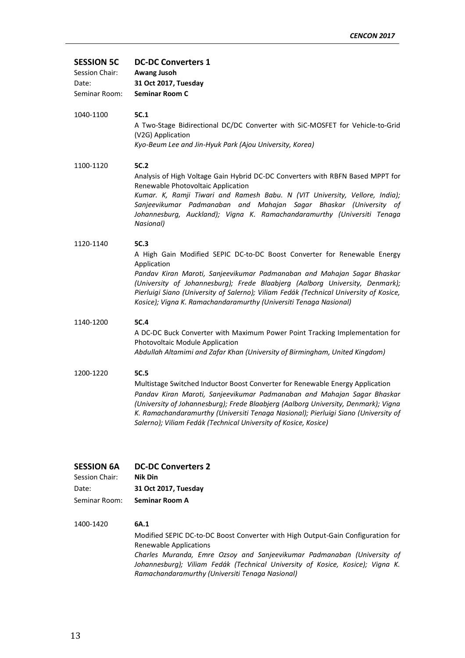# **SESSION 5C DC-DC Converters 1**

| Session Chair: | Awang Jusoh           |
|----------------|-----------------------|
| Date:          | 31 Oct 2017, Tuesday  |
| Seminar Room:  | <b>Seminar Room C</b> |

1040-1100 **5C.1**

A Two-Stage Bidirectional DC/DC Converter with SiC-MOSFET for Vehicle-to-Grid (V2G) Application *Kyo-Beum Lee and Jin-Hyuk Park (Ajou University, Korea)*

## 1100-1120 **5C.2**

Analysis of High Voltage Gain Hybrid DC-DC Converters with RBFN Based MPPT for Renewable Photovoltaic Application

*Kumar. K, Ramji Tiwari and Ramesh Babu. N (VIT University, Vellore, India); Sanjeevikumar Padmanaban and Mahajan Sagar Bhaskar (University of Johannesburg, Auckland); Vigna K. Ramachandaramurthy (Universiti Tenaga Nasional)*

# 1120-1140 **5C.3**

A High Gain Modified SEPIC DC-to-DC Boost Converter for Renewable Energy Application

*Pandav Kiran Maroti, Sanjeevikumar Padmanaban and Mahajan Sagar Bhaskar (University of Johannesburg); Frede Blaabjerg (Aalborg University, Denmark); Pierluigi Siano (University of Salerno); Viliam Fedák (Technical University of Kosice, Kosice); Vigna K. Ramachandaramurthy (Universiti Tenaga Nasional)*

## 1140-1200 **5C.4**

A DC-DC Buck Converter with Maximum Power Point Tracking Implementation for Photovoltaic Module Application *Abdullah Altamimi and Zafar Khan (University of Birmingham, United Kingdom)*

# 1200-1220 **5C.5**

Multistage Switched Inductor Boost Converter for Renewable Energy Application *Pandav Kiran Maroti, Sanjeevikumar Padmanaban and Mahajan Sagar Bhaskar (University of Johannesburg); Frede Blaabjerg (Aalborg University, Denmark); Vigna K. Ramachandaramurthy (Universiti Tenaga Nasional); Pierluigi Siano (University of Salerno); Viliam Fedák (Technical University of Kosice, Kosice)*

# **SESSION 6A DC-DC Converters 2**

| Session Chair: | Nik Din               |
|----------------|-----------------------|
| Date:          | 31 Oct 2017, Tuesday  |
| Seminar Room:  | <b>Seminar Room A</b> |

# 1400-1420 **6A.1**

Modified SEPIC DC-to-DC Boost Converter with High Output-Gain Configuration for Renewable Applications *Charles Muranda, Emre Ozsoy and Sanjeevikumar Padmanaban (University of Johannesburg); Viliam Fedák (Technical University of Kosice, Kosice); Vigna K. Ramachandaramurthy (Universiti Tenaga Nasional)*